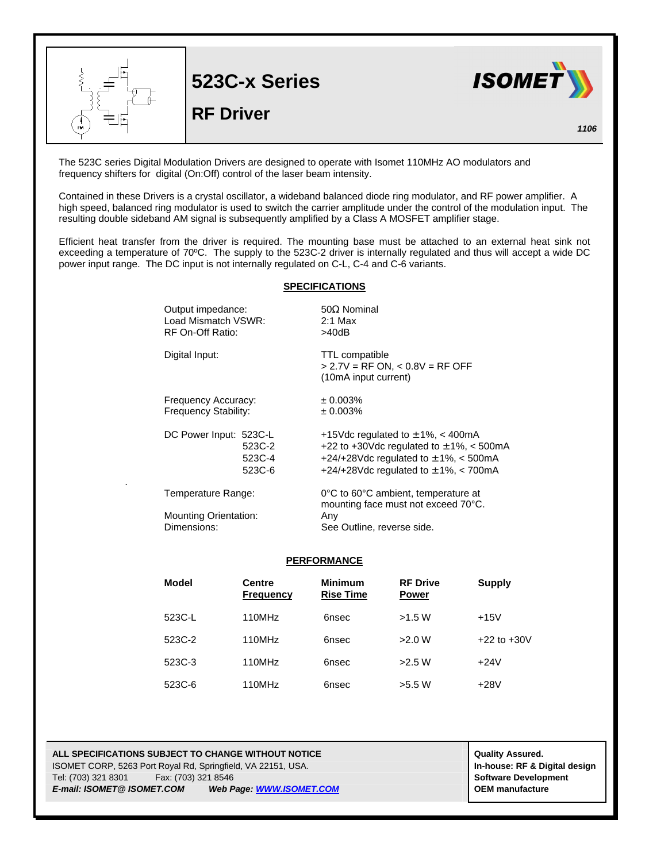

The 523C series Digital Modulation Drivers are designed to operate with Isomet 110MHz AO modulators and frequency shifters for digital (On:Off) control of the laser beam intensity.

Contained in these Drivers is a crystal oscillator, a wideband balanced diode ring modulator, and RF power amplifier. A high speed, balanced ring modulator is used to switch the carrier amplitude under the control of the modulation input. The resulting double sideband AM signal is subsequently amplified by a Class A MOSFET amplifier stage.

Efficient heat transfer from the driver is required. The mounting base must be attached to an external heat sink not exceeding a temperature of 70ºC. The supply to the 523C-2 driver is internally regulated and thus will accept a wide DC power input range. The DC input is not internally regulated on C-L, C-4 and C-6 variants.

## **SPECIFICATIONS**

| Output impedance:<br>Load Mismatch VSWR:<br>RF On-Off Ratio: | $50\Omega$ Nominal<br>$2:1$ Max<br>>40dB                                                                                                                                        |
|--------------------------------------------------------------|---------------------------------------------------------------------------------------------------------------------------------------------------------------------------------|
| Digital Input:                                               | <b>TTL</b> compatible<br>$> 2.7V = RF ON, < 0.8V = RF OFF$<br>(10mA input current)                                                                                              |
| Frequency Accuracy:<br>Frequency Stability:                  | ± 0.003%<br>± 0.003%                                                                                                                                                            |
| DC Power Input: 523C-L<br>523C-2<br>523C-4<br>523C-6         | +15Vdc regulated to $\pm$ 1%, < 400mA<br>+22 to +30Vdc regulated to $\pm$ 1%, < 500mA<br>+24/+28Vdc regulated to $\pm$ 1%, < 500mA<br>+24/+28Vdc regulated to $\pm$ 1%, < 700mA |
| Temperature Range:                                           | 0°C to 60°C ambient, temperature at<br>mounting face must not exceed 70°C.                                                                                                      |
| <b>Mounting Orientation:</b>                                 | Any<br>See Outline, reverse side.                                                                                                                                               |
|                                                              | Dimensions:                                                                                                                                                                     |

## **PERFORMANCE**

| Model  | <b>Centre</b><br><b>Frequency</b> | <b>Minimum</b><br><b>Rise Time</b> | <b>RF Drive</b><br><b>Power</b> | Supply          |
|--------|-----------------------------------|------------------------------------|---------------------------------|-----------------|
| 523C-L | 110MHz                            | 6nsec                              | >1.5 W                          | $+15V$          |
| 523C-2 | 110MHz                            | 6nsec                              | >2.0 W                          | $+22$ to $+30V$ |
| 523C-3 | 110MHz                            | 6nsec                              | >2.5 W                          | $+24V$          |
| 523C-6 | 110MHz                            | 6nsec                              | >5.5 W                          | $+28V$          |

**ALL SPECIFICATIONS SUBJECT TO CHANGE WITHOUT NOTICE ALL SPECIFICATIONS SUBJECT TO CHANGE WITHOUT NOTICE** ISOMET CORP, 5263 Port Royal Rd, Springfield, VA 22151, USA. **In-house: RF & Digital design** Tel: (703) 321 8301 Fax: (703) 321 8546 **Software Development** *E-mail: ISOMET@ ISOMET.COM Web Page: WWW.ISOMET.COM* **OEM manufacture**

.